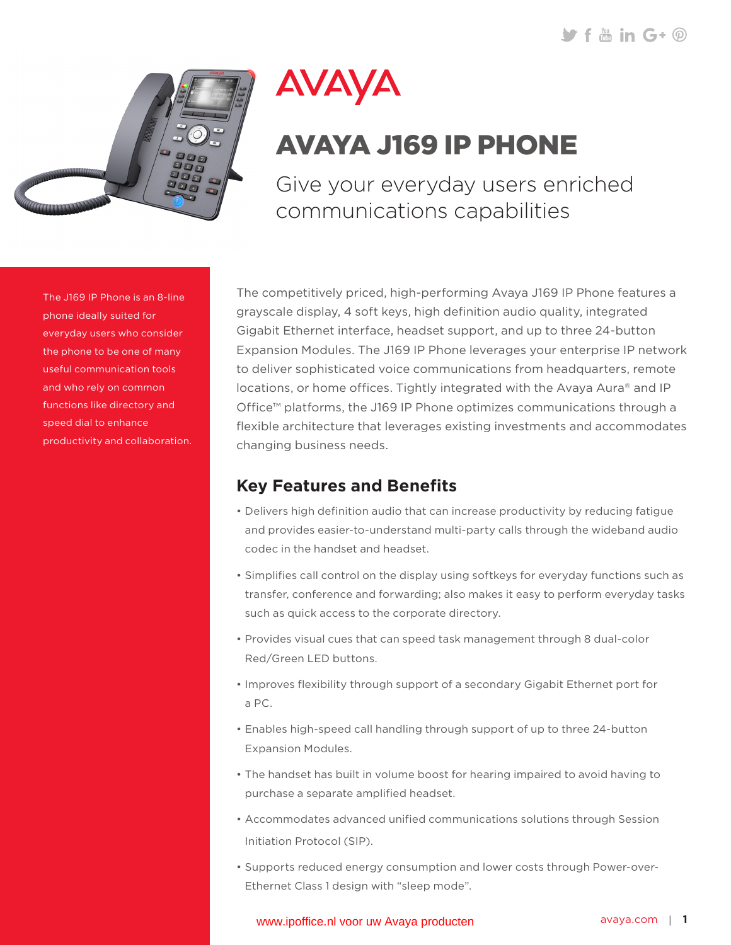$\blacktriangleright$  f  $\stackrel{m}{\text{min}}$  G+  $\stackrel{m}{\text{O}}$ 



# AVAYA

## AVAYA J169 IP PHONE

Give your everyday users enriched communications capabilities

The J169 IP Phone is an 8-line phone ideally suited for everyday users who consider the phone to be one of many useful communication tools and who rely on common functions like directory and speed dial to enhance productivity and collaboration. The competitively priced, high-performing Avaya J169 IP Phone features a grayscale display, 4 soft keys, high definition audio quality, integrated Gigabit Ethernet interface, headset support, and up to three 24-button Expansion Modules. The J169 IP Phone leverages your enterprise IP network to deliver sophisticated voice communications from headquarters, remote locations, or home offices. Tightly integrated with the Avaya Aura® and IP Office™ platforms, the J169 IP Phone optimizes communications through a flexible architecture that leverages existing investments and accommodates changing business needs.

## **Key Features and Benefits**

- Delivers high definition audio that can increase productivity by reducing fatigue and provides easier-to-understand multi-party calls through the wideband audio codec in the handset and headset.
- • Simplifies call control on the display using softkeys for everyday functions such as transfer, conference and forwarding; also makes it easy to perform everyday tasks such as quick access to the corporate directory.
- • Provides visual cues that can speed task management through 8 dual-color Red/Green LED buttons.
- • Improves flexibility through support of a secondary Gigabit Ethernet port for a PC.
- Enables high-speed call handling through support of up to three 24-button Expansion Modules.
- The handset has built in volume boost for hearing impaired to avoid having to purchase a separate amplified headset.
- • Accommodates advanced unified communications solutions through Session Initiation Protocol (SIP).
- • Supports reduced energy consumption and lower costs through Power-over-Ethernet Class 1 design with "sleep mode".